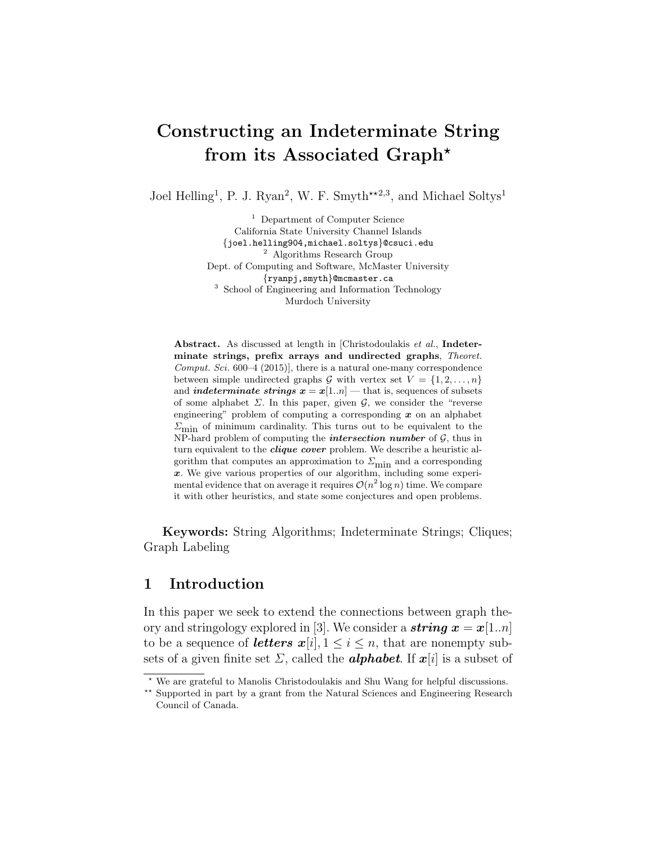# Constructing an Indeterminate String from its Associated Graph?

Joel Helling<sup>1</sup>, P. J. Ryan<sup>2</sup>, W. F. Smyth<sup>\*\*2,3</sup>, and Michael Soltys<sup>1</sup>

<sup>1</sup> Department of Computer Science California State University Channel Islands {joel.helling904,michael.soltys}@csuci.edu <sup>2</sup> Algorithms Research Group Dept. of Computing and Software, McMaster University {ryanpj,smyth}@mcmaster.ca <sup>3</sup> School of Engineering and Information Technology Murdoch University

Abstract. As discussed at length in [Christodoulakis et al., Indeterminate strings, prefix arrays and undirected graphs, Theoret. Comput. Sci.  $600-4$  (2015)], there is a natural one-many correspondence between simple undirected graphs G with vertex set  $V = \{1, 2, ..., n\}$ and *indeterminate strings*  $x = x[1..n]$  — that is, sequences of subsets of some alphabet  $\Sigma$ . In this paper, given  $\mathcal{G}$ , we consider the "reverse engineering" problem of computing a corresponding  $x$  on an alphabet  $\Sigma_{\text{min}}$  of minimum cardinality. This turns out to be equivalent to the NP-hard problem of computing the *intersection number* of  $G$ , thus in turn equivalent to the *clique cover* problem. We describe a heuristic algorithm that computes an approximation to  $\varSigma_{\rm min}$  and a corresponding x. We give various properties of our algorithm, including some experimental evidence that on average it requires  $\mathcal{O}(n^2 \log n)$  time. We compare it with other heuristics, and state some conjectures and open problems.

Keywords: String Algorithms; Indeterminate Strings; Cliques; Graph Labeling

#### 1 Introduction

In this paper we seek to extend the connections between graph theory and stringology explored in [3]. We consider a **string**  $x = x[1..n]$ to be a sequence of *letters*  $x[i], 1 \le i \le n$ , that are nonempty subsets of a given finite set  $\Sigma$ , called the **alphabet**. If  $x[i]$  is a subset of

<sup>?</sup> We are grateful to Manolis Christodoulakis and Shu Wang for helpful discussions.

<sup>\*\*</sup> Supported in part by a grant from the Natural Sciences and Engineering Research Council of Canada.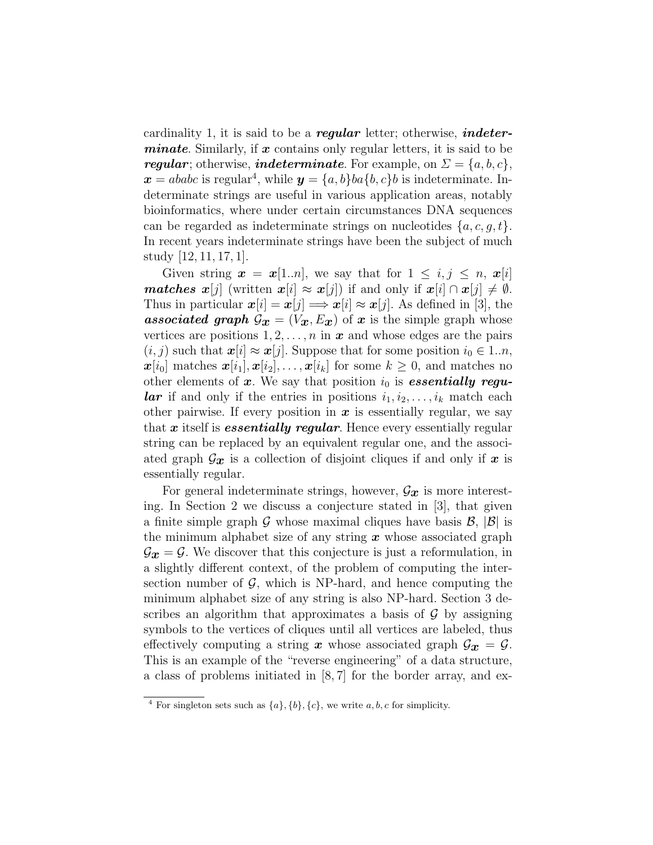cardinality 1, it is said to be a *regular* letter; otherwise, *indeterminate.* Similarly, if  $x$  contains only regular letters, it is said to be regular; otherwise, indeterminate. For example, on  $\Sigma = \{a, b, c\},\$  $x = ababc$  is regular<sup>4</sup>, while  $y = \{a, b\}ba\{b, c\}b$  is indeterminate. Indeterminate strings are useful in various application areas, notably bioinformatics, where under certain circumstances DNA sequences can be regarded as indeterminate strings on nucleotides  $\{a, c, q, t\}$ . In recent years indeterminate strings have been the subject of much study [12, 11, 17, 1].

Given string  $\mathbf{x} = \mathbf{x}[1..n]$ , we say that for  $1 \leq i, j \leq n$ ,  $\mathbf{x}[i]$ **matches** x[j] (written  $x[i] \approx x[j]$ ) if and only if  $x[i] \cap x[j] \neq \emptyset$ . Thus in particular  $x[i] = x[j] \Longrightarrow x[i] \approx x[j]$ . As defined in [3], the **associated graph**  $\mathcal{G}_{x} = (V_x, E_x)$  of x is the simple graph whose vertices are positions  $1, 2, \ldots, n$  in  $\boldsymbol{x}$  and whose edges are the pairs  $(i, j)$  such that  $x[i] \approx x[j]$ . Suppose that for some position  $i_0 \in 1..n$ ,  $\boldsymbol{x}[i_0]$  matches  $\boldsymbol{x}[i_1], \boldsymbol{x}[i_2], \ldots, \boldsymbol{x}[i_k]$  for some  $k \geq 0$ , and matches no other elements of x. We say that position  $i_0$  is **essentially regu***lar* if and only if the entries in positions  $i_1, i_2, \ldots, i_k$  match each other pairwise. If every position in  $x$  is essentially regular, we say that x itself is *essentially regular*. Hence every essentially regular string can be replaced by an equivalent regular one, and the associated graph  $\mathcal{G}_x$  is a collection of disjoint cliques if and only if x is essentially regular.

For general indeterminate strings, however,  $\mathcal{G}_x$  is more interesting. In Section 2 we discuss a conjecture stated in [3], that given a finite simple graph G whose maximal cliques have basis  $\mathcal{B}, |\mathcal{B}|$  is the minimum alphabet size of any string  $x$  whose associated graph  $\mathcal{G}_{x} = \mathcal{G}$ . We discover that this conjecture is just a reformulation, in a slightly different context, of the problem of computing the intersection number of  $\mathcal{G}$ , which is NP-hard, and hence computing the minimum alphabet size of any string is also NP-hard. Section 3 describes an algorithm that approximates a basis of  $\mathcal G$  by assigning symbols to the vertices of cliques until all vertices are labeled, thus effectively computing a string x whose associated graph  $\mathcal{G}_x = \mathcal{G}$ . This is an example of the "reverse engineering" of a data structure, a class of problems initiated in [8, 7] for the border array, and ex-

<sup>&</sup>lt;sup>4</sup> For singleton sets such as  $\{a\}, \{b\}, \{c\}$ , we write a, b, c for simplicity.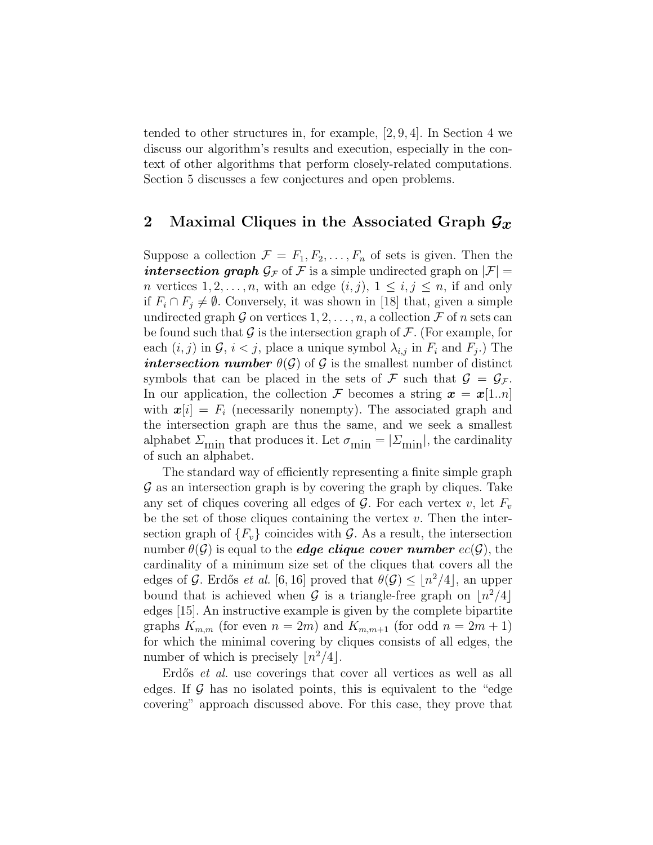tended to other structures in, for example, [2, 9, 4]. In Section 4 we discuss our algorithm's results and execution, especially in the context of other algorithms that perform closely-related computations. Section 5 discusses a few conjectures and open problems.

### 2 Maximal Cliques in the Associated Graph  $\mathcal{G}_x$

Suppose a collection  $\mathcal{F} = F_1, F_2, \ldots, F_n$  of sets is given. Then the intersection graph  $\mathcal{G}_{\mathcal{F}}$  of F is a simple undirected graph on  $|\mathcal{F}| =$ *n* vertices  $1, 2, \ldots, n$ , with an edge  $(i, j)$ ,  $1 \leq i, j \leq n$ , if and only if  $F_i \cap F_j \neq \emptyset$ . Conversely, it was shown in [18] that, given a simple undirected graph G on vertices  $1, 2, \ldots, n$ , a collection F of n sets can be found such that  $\mathcal G$  is the intersection graph of  $\mathcal F$ . (For example, for each  $(i, j)$  in  $\mathcal{G}, i < j$ , place a unique symbol  $\lambda_{i,j}$  in  $F_i$  and  $F_j$ .) The intersection number  $\theta(\mathcal{G})$  of  $\mathcal{G}$  is the smallest number of distinct symbols that can be placed in the sets of F such that  $\mathcal{G} = \mathcal{G}_{\mathcal{F}}$ . In our application, the collection F becomes a string  $x = x[1..n]$ with  $x[i] = F_i$  (necessarily nonempty). The associated graph and the intersection graph are thus the same, and we seek a smallest alphabet  $\varSigma_{\rm min}$  that produces it. Let  $\sigma_{\rm min}=|\varSigma_{\rm min}|,$  the cardinality of such an alphabet.

The standard way of efficiently representing a finite simple graph  $\mathcal G$  as an intersection graph is by covering the graph by cliques. Take any set of cliques covering all edges of  $\mathcal G$ . For each vertex v, let  $F_v$ be the set of those cliques containing the vertex  $v$ . Then the intersection graph of  ${F_v}$  coincides with G. As a result, the intersection number  $\theta(\mathcal{G})$  is equal to the **edge clique cover number**  $ec(\mathcal{G})$ , the cardinality of a minimum size set of the cliques that covers all the edges of G. Erdős *et al.* [6, 16] proved that  $\theta(\mathcal{G}) \leq |n^2/4|$ , an upper bound that is achieved when G is a triangle-free graph on  $\lfloor n^2/4 \rfloor$ edges [15]. An instructive example is given by the complete bipartite graphs  $K_{m,m}$  (for even  $n = 2m$ ) and  $K_{m,m+1}$  (for odd  $n = 2m + 1$ ) for which the minimal covering by cliques consists of all edges, the number of which is precisely  $\lfloor n^2/4 \rfloor$ .

Erdős *et al.* use coverings that cover all vertices as well as all edges. If  $\mathcal G$  has no isolated points, this is equivalent to the "edge" covering" approach discussed above. For this case, they prove that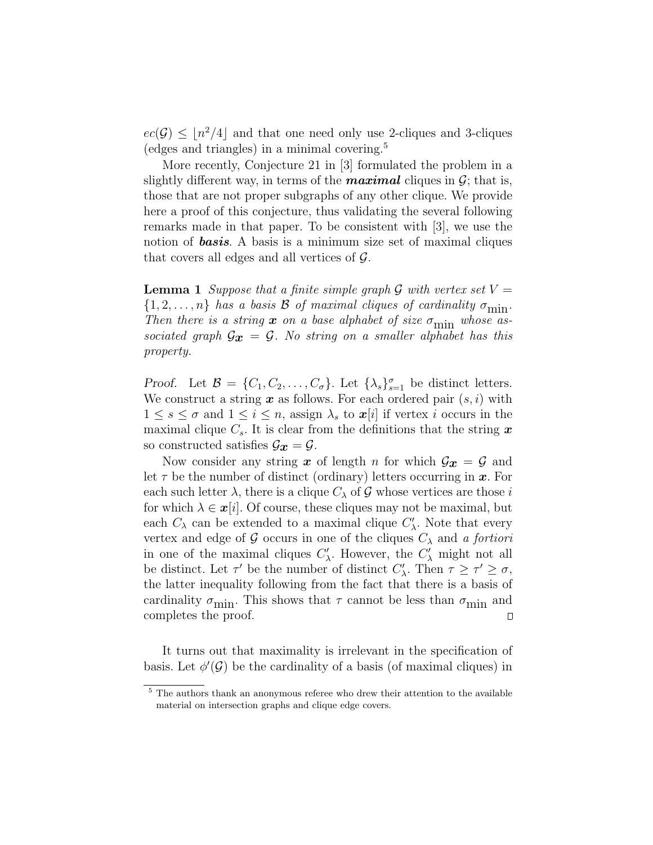$ec(\mathcal{G}) \leq \lfloor n^2/4 \rfloor$  and that one need only use 2-cliques and 3-cliques (edges and triangles) in a minimal covering.<sup>5</sup>

More recently, Conjecture 21 in [3] formulated the problem in a slightly different way, in terms of the **maximal** cliques in  $\mathcal{G}$ ; that is, those that are not proper subgraphs of any other clique. We provide here a proof of this conjecture, thus validating the several following remarks made in that paper. To be consistent with [3], we use the notion of **basis**. A basis is a minimum size set of maximal cliques that covers all edges and all vertices of  $\mathcal{G}$ .

**Lemma 1** Suppose that a finite simple graph G with vertex set  $V =$  $\{1, 2, \ldots, n\}$  has a basis **B** of maximal cliques of cardinality  $\sigma_{\min}$ . Then there is a string  $x$  on a base alphabet of size  $\sigma_{\min}$  whose associated graph  $\mathcal{G}_{x} = \mathcal{G}$ . No string on a smaller alphabet has this property.

Proof. Let  $\mathcal{B} = \{C_1, C_2, \ldots, C_{\sigma}\}\.$  Let  $\{\lambda_s\}_{s=1}^{\sigma}$  be distinct letters. We construct a string  $\boldsymbol{x}$  as follows. For each ordered pair  $(s, i)$  with  $1 \leq s \leq \sigma$  and  $1 \leq i \leq n$ , assign  $\lambda_s$  to  $\boldsymbol{x}[i]$  if vertex i occurs in the maximal clique  $C_s$ . It is clear from the definitions that the string x so constructed satisfies  $\mathcal{G}_{x} = \mathcal{G}$ .

Now consider any string x of length n for which  $\mathcal{G}_x = \mathcal{G}$  and let  $\tau$  be the number of distinct (ordinary) letters occurring in  $\boldsymbol{x}$ . For each such letter  $\lambda$ , there is a clique  $C_{\lambda}$  of G whose vertices are those i for which  $\lambda \in \mathbf{x}[i]$ . Of course, these cliques may not be maximal, but each  $C_{\lambda}$  can be extended to a maximal clique  $C'_{\lambda}$ . Note that every vertex and edge of G occurs in one of the cliques  $C_{\lambda}$  and a fortiori in one of the maximal cliques  $C'_{\lambda}$ . However, the  $C'_{\lambda}$  might not all be distinct. Let  $\tau'$  be the number of distinct  $C'_{\lambda}$ . Then  $\tau \geq \tau' \geq \sigma$ , the latter inequality following from the fact that there is a basis of cardinality  $\sigma_{\min}$ . This shows that  $\tau$  cannot be less than  $\sigma_{\min}$  and completes the proof.  $\Box$ 

It turns out that maximality is irrelevant in the specification of basis. Let  $\phi'(\mathcal{G})$  be the cardinality of a basis (of maximal cliques) in

<sup>&</sup>lt;sup>5</sup> The authors thank an anonymous referee who drew their attention to the available material on intersection graphs and clique edge covers.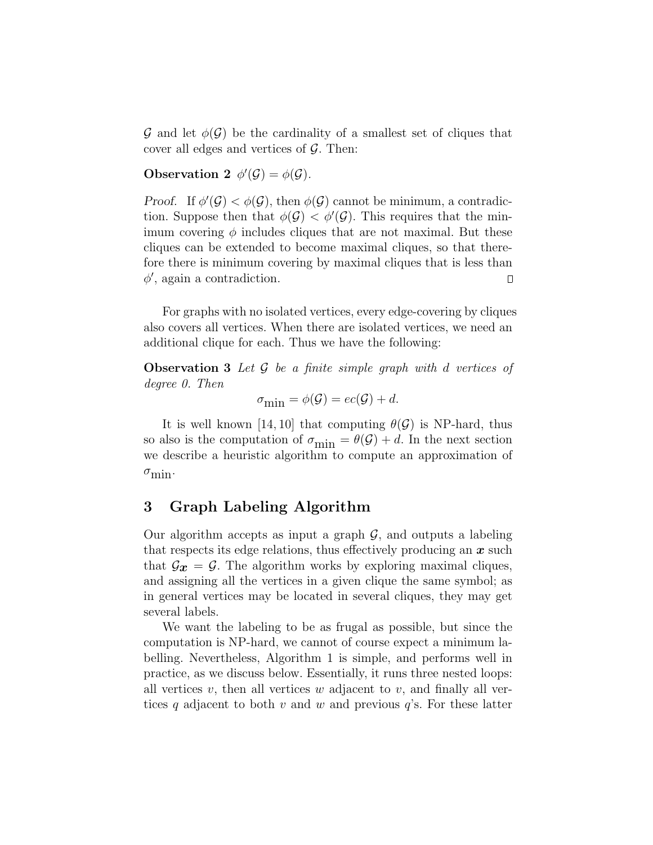G and let  $\phi(\mathcal{G})$  be the cardinality of a smallest set of cliques that cover all edges and vertices of  $\mathcal{G}$ . Then:

Observation 2  $\phi'(\mathcal{G}) = \phi(\mathcal{G})$ .

Proof. If  $\phi'(\mathcal{G}) < \phi(\mathcal{G})$ , then  $\phi(\mathcal{G})$  cannot be minimum, a contradiction. Suppose then that  $\phi(\mathcal{G}) < \phi'(\mathcal{G})$ . This requires that the minimum covering  $\phi$  includes cliques that are not maximal. But these cliques can be extended to become maximal cliques, so that therefore there is minimum covering by maximal cliques that is less than  $\phi'$ , again a contradiction.  $\Box$ 

For graphs with no isolated vertices, every edge-covering by cliques also covers all vertices. When there are isolated vertices, we need an additional clique for each. Thus we have the following:

**Observation 3** Let  $\mathcal G$  be a finite simple graph with d vertices of degree 0. Then

$$
\sigma_{\min} = \phi(\mathcal{G}) = ec(\mathcal{G}) + d.
$$

It is well known [14, 10] that computing  $\theta(\mathcal{G})$  is NP-hard, thus so also is the computation of  $\sigma_{\min} = \theta(\mathcal{G}) + d$ . In the next section we describe a heuristic algorithm to compute an approximation of  $\sigma_{\min}$ .

## 3 Graph Labeling Algorithm

Our algorithm accepts as input a graph  $\mathcal{G}$ , and outputs a labeling that respects its edge relations, thus effectively producing an  $x$  such that  $\mathcal{G}_{\mathcal{X}} = \mathcal{G}$ . The algorithm works by exploring maximal cliques, and assigning all the vertices in a given clique the same symbol; as in general vertices may be located in several cliques, they may get several labels.

We want the labeling to be as frugal as possible, but since the computation is NP-hard, we cannot of course expect a minimum labelling. Nevertheless, Algorithm 1 is simple, and performs well in practice, as we discuss below. Essentially, it runs three nested loops: all vertices  $v$ , then all vertices  $w$  adjacent to  $v$ , and finally all vertices q adjacent to both v and w and previous  $q$ 's. For these latter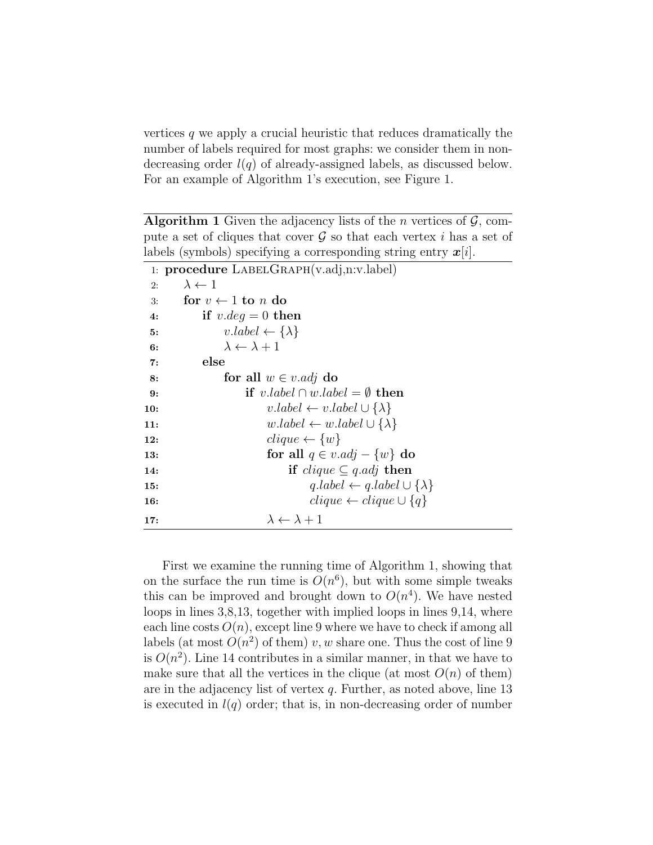vertices  $q$  we apply a crucial heuristic that reduces dramatically the number of labels required for most graphs: we consider them in nondecreasing order  $l(q)$  of already-assigned labels, as discussed below. For an example of Algorithm 1's execution, see Figure 1.

**Algorithm 1** Given the adjacency lists of the *n* vertices of  $\mathcal{G}$ , compute a set of cliques that cover  $\mathcal G$  so that each vertex i has a set of labels (symbols) specifying a corresponding string entry  $x[i]$ .

```
1: procedure LabelGraph(v.adj,n:v.label)
 2: \lambda \leftarrow 13: for v \leftarrow 1 to n do
 4: if v.deg = 0 then
 5: v.\text{label} \leftarrow \{\lambda\}6: \lambda \leftarrow \lambda + 17: else
 8: for all w \in v. adj do
 9: if v. \text{label} \cap w. \text{label} = \emptyset then
10: v.\text{label} \leftarrow v.\text{label} \cup \{\lambda\}11: w.\text{label} \leftarrow w.\text{label} \cup \{\lambda\}12: clique \leftarrow \{w\}13: for all q \in v \cdot adj - \{w\} do
14: if clique \subseteq q.add then
15: q.\text{label} \leftarrow q.\text{label} \cup \{\lambda\}16: clique ← clique ∪ {q}
17: \lambda \leftarrow \lambda + 1
```
First we examine the running time of Algorithm 1, showing that on the surface the run time is  $O(n^6)$ , but with some simple tweaks this can be improved and brought down to  $O(n^4)$ . We have nested loops in lines 3,8,13, together with implied loops in lines 9,14, where each line costs  $O(n)$ , except line 9 where we have to check if among all labels (at most  $O(n^2)$  of them) v, w share one. Thus the cost of line 9 is  $O(n^2)$ . Line 14 contributes in a similar manner, in that we have to make sure that all the vertices in the clique (at most  $O(n)$  of them) are in the adjacency list of vertex q. Further, as noted above, line 13 is executed in  $l(q)$  order; that is, in non-decreasing order of number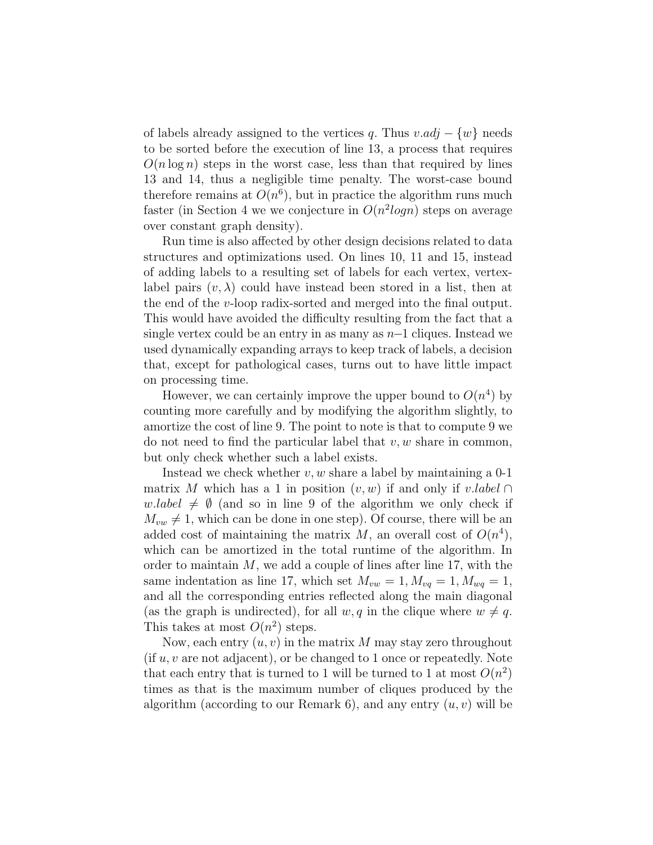of labels already assigned to the vertices q. Thus  $v \cdot adj - \{w\}$  needs to be sorted before the execution of line 13, a process that requires  $O(n \log n)$  steps in the worst case, less than that required by lines 13 and 14, thus a negligible time penalty. The worst-case bound therefore remains at  $O(n^6)$ , but in practice the algorithm runs much faster (in Section 4 we we conjecture in  $O(n^2 \log n)$  steps on average over constant graph density).

Run time is also affected by other design decisions related to data structures and optimizations used. On lines 10, 11 and 15, instead of adding labels to a resulting set of labels for each vertex, vertexlabel pairs  $(v, \lambda)$  could have instead been stored in a list, then at the end of the v-loop radix-sorted and merged into the final output. This would have avoided the difficulty resulting from the fact that a single vertex could be an entry in as many as n−1 cliques. Instead we used dynamically expanding arrays to keep track of labels, a decision that, except for pathological cases, turns out to have little impact on processing time.

However, we can certainly improve the upper bound to  $O(n^4)$  by counting more carefully and by modifying the algorithm slightly, to amortize the cost of line 9. The point to note is that to compute 9 we do not need to find the particular label that  $v, w$  share in common, but only check whether such a label exists.

Instead we check whether  $v, w$  share a label by maintaining a 0-1 matrix M which has a 1 in position  $(v, w)$  if and only if v.label ∩ w.label  $\neq \emptyset$  (and so in line 9 of the algorithm we only check if  $M_{vw} \neq 1$ , which can be done in one step). Of course, there will be an added cost of maintaining the matrix M, an overall cost of  $O(n^4)$ , which can be amortized in the total runtime of the algorithm. In order to maintain  $M$ , we add a couple of lines after line 17, with the same indentation as line 17, which set  $M_{vw} = 1, M_{vq} = 1, M_{wq} = 1$ , and all the corresponding entries reflected along the main diagonal (as the graph is undirected), for all  $w, q$  in the clique where  $w \neq q$ . This takes at most  $O(n^2)$  steps.

Now, each entry  $(u, v)$  in the matrix M may stay zero throughout  $(fif u, v \text{ are not adjacent})$ , or be changed to 1 once or repeatedly. Note that each entry that is turned to 1 will be turned to 1 at most  $O(n^2)$ times as that is the maximum number of cliques produced by the algorithm (according to our Remark 6), and any entry  $(u, v)$  will be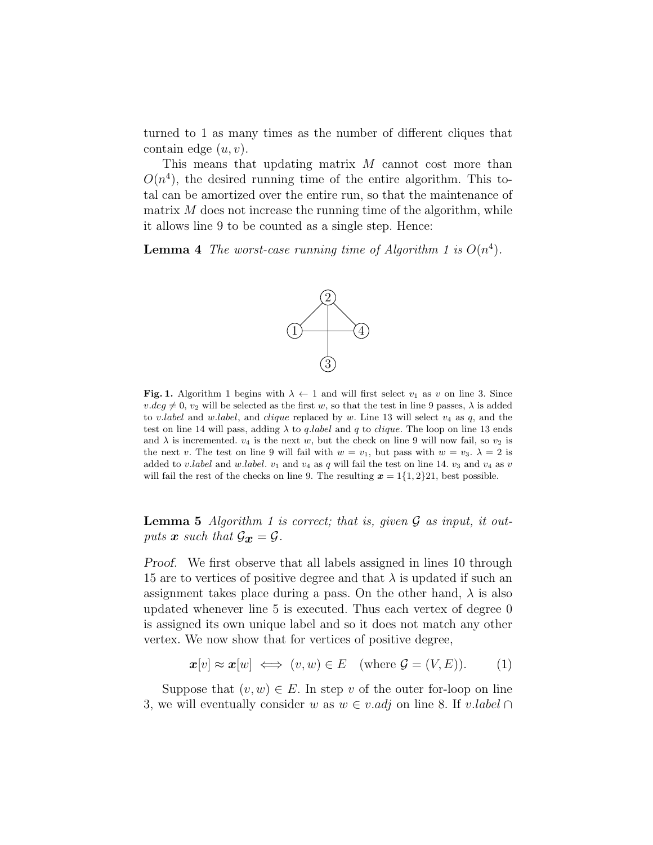turned to 1 as many times as the number of different cliques that contain edge  $(u, v)$ .

This means that updating matrix M cannot cost more than  $O(n<sup>4</sup>)$ , the desired running time of the entire algorithm. This total can be amortized over the entire run, so that the maintenance of matrix  $M$  does not increase the running time of the algorithm, while it allows line 9 to be counted as a single step. Hence:

**Lemma 4** The worst-case running time of Algorithm 1 is  $O(n^4)$ .



Fig. 1. Algorithm 1 begins with  $\lambda \leftarrow 1$  and will first select  $v_1$  as v on line 3. Since  $v.deq \neq 0$ ,  $v_2$  will be selected as the first w, so that the test in line 9 passes,  $\lambda$  is added to v.label and w.label, and clique replaced by w. Line 13 will select  $v_4$  as  $q$ , and the test on line 14 will pass, adding  $\lambda$  to *q.label* and *q* to *clique*. The loop on line 13 ends and  $\lambda$  is incremented.  $v_4$  is the next w, but the check on line 9 will now fail, so  $v_2$  is the next v. The test on line 9 will fail with  $w = v_1$ , but pass with  $w = v_3$ .  $\lambda = 2$  is added to v.label and w.label.  $v_1$  and  $v_4$  as q will fail the test on line 14.  $v_3$  and  $v_4$  as v will fail the rest of the checks on line 9. The resulting  $x = 1\{1, 2\}21$ , best possible.

**Lemma 5** Algorithm 1 is correct; that is, given  $\mathcal G$  as input, it outputs  $\mathbf{x}$  such that  $\mathcal{G}_{\mathbf{x}} = \mathcal{G}$ .

Proof. We first observe that all labels assigned in lines 10 through 15 are to vertices of positive degree and that  $\lambda$  is updated if such an assignment takes place during a pass. On the other hand,  $\lambda$  is also updated whenever line 5 is executed. Thus each vertex of degree 0 is assigned its own unique label and so it does not match any other vertex. We now show that for vertices of positive degree,

$$
\boldsymbol{x}[v] \approx \boldsymbol{x}[w] \iff (v, w) \in E \quad \text{(where } \mathcal{G} = (V, E). \tag{1}
$$

Suppose that  $(v, w) \in E$ . In step v of the outer for-loop on line 3, we will eventually consider w as  $w \in v$  *adj* on line 8. If v.label ∩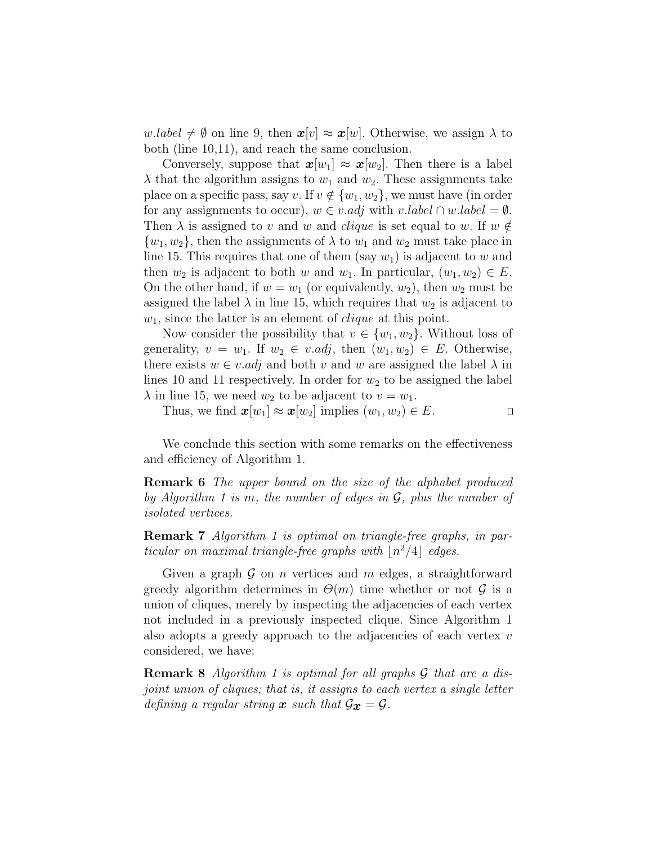w.label  $\neq \emptyset$  on line 9, then  $x[v] \approx x[w]$ . Otherwise, we assign  $\lambda$  to both (line 10,11), and reach the same conclusion.

Conversely, suppose that  $x[w_1] \approx x[w_2]$ . Then there is a label  $\lambda$  that the algorithm assigns to  $w_1$  and  $w_2$ . These assignments take place on a specific pass, say v. If  $v \notin \{w_1, w_2\}$ , we must have (in order for any assignments to occur),  $w \in v$  *adj* with v.label  $\cap w$  *label* =  $\emptyset$ . Then  $\lambda$  is assigned to v and w and *clique* is set equal to w. If  $w \notin \mathcal{L}$  $\{w_1, w_2\}$ , then the assignments of  $\lambda$  to  $w_1$  and  $w_2$  must take place in line 15. This requires that one of them (say  $w_1$ ) is adjacent to w and then  $w_2$  is adjacent to both w and  $w_1$ . In particular,  $(w_1, w_2) \in E$ . On the other hand, if  $w = w_1$  (or equivalently,  $w_2$ ), then  $w_2$  must be assigned the label  $\lambda$  in line 15, which requires that  $w_2$  is adjacent to  $w_1$ , since the latter is an element of *clique* at this point.

Now consider the possibility that  $v \in \{w_1, w_2\}$ . Without loss of generality,  $v = w_1$ . If  $w_2 \in v$  *adj*, then  $(w_1, w_2) \in E$ . Otherwise, there exists  $w \in v$  *adj* and both v and w are assigned the label  $\lambda$  in lines 10 and 11 respectively. In order for  $w_2$  to be assigned the label  $\lambda$  in line 15, we need  $w_2$  to be adjacent to  $v = w_1$ .

Thus, we find  $\mathbf{x}[w_1] \approx \mathbf{x}[w_2]$  implies  $(w_1, w_2) \in E$ .  $\Box$ 

We conclude this section with some remarks on the effectiveness and efficiency of Algorithm 1.

**Remark 6** The upper bound on the size of the alphabet produced by Algorithm 1 is m, the number of edges in  $\mathcal{G}$ , plus the number of isolated vertices.

Remark 7 Algorithm 1 is optimal on triangle-free graphs, in particular on maximal triangle-free graphs with  $\lfloor n^2/4 \rfloor$  edges.

Given a graph  $\mathcal G$  on n vertices and m edges, a straightforward greedy algorithm determines in  $\Theta(m)$  time whether or not  $\mathcal G$  is a union of cliques, merely by inspecting the adjacencies of each vertex not included in a previously inspected clique. Since Algorithm 1 also adopts a greedy approach to the adjacencies of each vertex  $v$ considered, we have:

**Remark 8** Algorithm 1 is optimal for all graphs  $\mathcal G$  that are a disjoint union of cliques; that is, it assigns to each vertex a single letter defining a regular string **x** such that  $\mathcal{G}_{\mathbf{x}} = \mathcal{G}$ .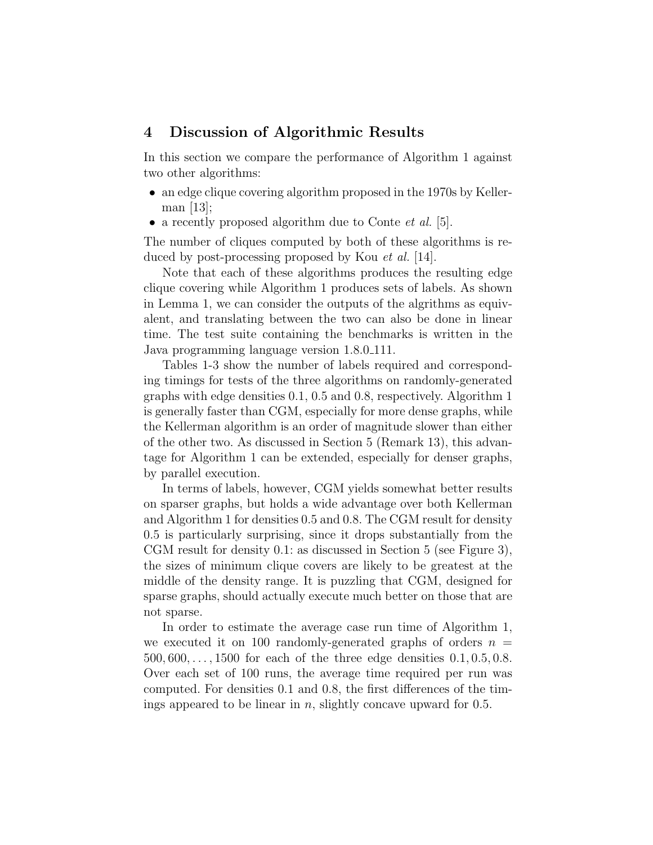#### 4 Discussion of Algorithmic Results

In this section we compare the performance of Algorithm 1 against two other algorithms:

- an edge clique covering algorithm proposed in the 1970s by Kellerman [13];
- a recently proposed algorithm due to Conte *et al.* [5].

The number of cliques computed by both of these algorithms is reduced by post-processing proposed by Kou et al. [14].

Note that each of these algorithms produces the resulting edge clique covering while Algorithm 1 produces sets of labels. As shown in Lemma 1, we can consider the outputs of the algrithms as equivalent, and translating between the two can also be done in linear time. The test suite containing the benchmarks is written in the Java programming language version 1.8.0 111.

Tables 1-3 show the number of labels required and corresponding timings for tests of the three algorithms on randomly-generated graphs with edge densities 0.1, 0.5 and 0.8, respectively. Algorithm 1 is generally faster than CGM, especially for more dense graphs, while the Kellerman algorithm is an order of magnitude slower than either of the other two. As discussed in Section 5 (Remark 13), this advantage for Algorithm 1 can be extended, especially for denser graphs, by parallel execution.

In terms of labels, however, CGM yields somewhat better results on sparser graphs, but holds a wide advantage over both Kellerman and Algorithm 1 for densities 0.5 and 0.8. The CGM result for density 0.5 is particularly surprising, since it drops substantially from the CGM result for density 0.1: as discussed in Section 5 (see Figure 3), the sizes of minimum clique covers are likely to be greatest at the middle of the density range. It is puzzling that CGM, designed for sparse graphs, should actually execute much better on those that are not sparse.

In order to estimate the average case run time of Algorithm 1, we executed it on 100 randomly-generated graphs of orders  $n =$ 500, 600, . . . , 1500 for each of the three edge densities 0.1, 0.5, 0.8. Over each set of 100 runs, the average time required per run was computed. For densities 0.1 and 0.8, the first differences of the timings appeared to be linear in  $n$ , slightly concave upward for 0.5.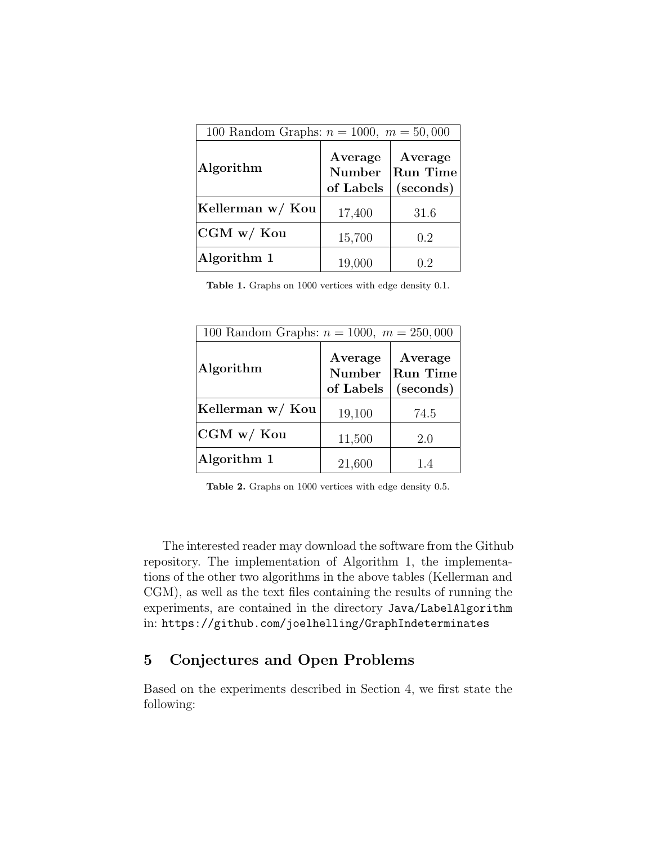| 100 Random Graphs: $n = 1000$ , $m = 50,000$ |                                |                                         |  |
|----------------------------------------------|--------------------------------|-----------------------------------------|--|
| Algorithm                                    | Average<br>Number<br>of Labels | Average<br><b>Run Time</b><br>(seconds) |  |
| Kellerman w/ Kou                             | 17,400                         | 31.6                                    |  |
| CGM w/Kou                                    | 15,700                         | 0.2                                     |  |
| Algorithm 1                                  | 19,000                         | 0.2                                     |  |

Table 1. Graphs on 1000 vertices with edge density 0.1.

| 100 Random Graphs: $n = 1000$ , $m = 250,000$ |                                       |                                         |  |
|-----------------------------------------------|---------------------------------------|-----------------------------------------|--|
| Algorithm                                     | Average<br><b>Number</b><br>of Labels | Average<br><b>Run Time</b><br>(seconds) |  |
| Kellerman w/ Kou                              | 19,100                                | 74.5                                    |  |
| CGM w/Kou                                     | 11,500                                | 2.0                                     |  |
| Algorithm 1                                   | 21,600                                | 1.4                                     |  |

Table 2. Graphs on 1000 vertices with edge density 0.5.

The interested reader may download the software from the Github repository. The implementation of Algorithm 1, the implementations of the other two algorithms in the above tables (Kellerman and CGM), as well as the text files containing the results of running the experiments, are contained in the directory Java/LabelAlgorithm in: https://github.com/joelhelling/GraphIndeterminates

# 5 Conjectures and Open Problems

Based on the experiments described in Section 4, we first state the following: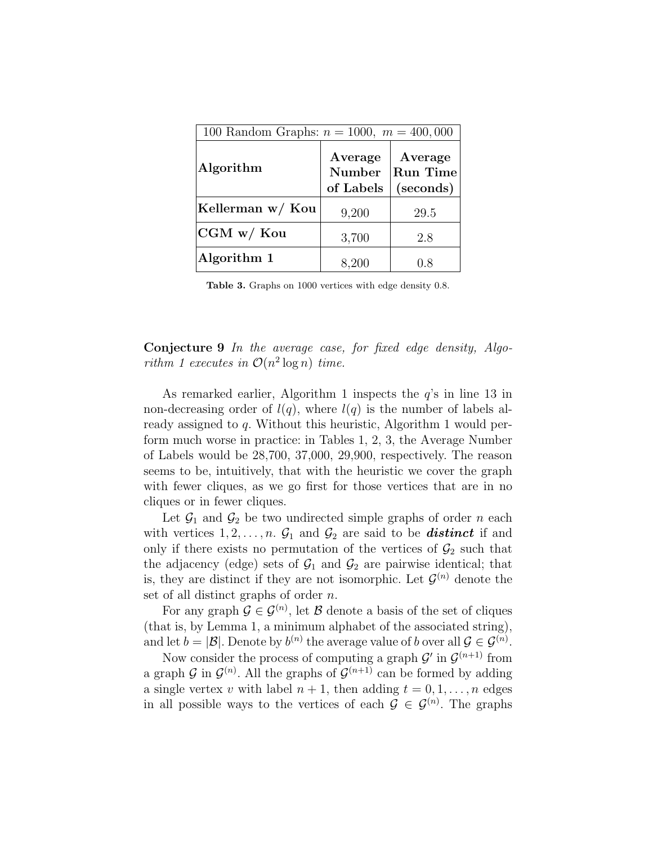| 100 Random Graphs: $n = 1000$ , $m = 400,000$ |                                       |                                         |  |
|-----------------------------------------------|---------------------------------------|-----------------------------------------|--|
| Algorithm                                     | Average<br><b>Number</b><br>of Labels | Average<br><b>Run Time</b><br>(seconds) |  |
| Kellerman w/ Kou                              | 9,200                                 | 29.5                                    |  |
| $CGM$ w/ $Kou$                                | 3,700                                 | 2.8                                     |  |
| Algorithm 1                                   | 8,200                                 | 0.8                                     |  |

Table 3. Graphs on 1000 vertices with edge density 0.8.

#### Conjecture 9 In the average case, for fixed edge density, Algorithm 1 executes in  $\mathcal{O}(n^2 \log n)$  time.

As remarked earlier, Algorithm 1 inspects the  $q$ 's in line 13 in non-decreasing order of  $l(q)$ , where  $l(q)$  is the number of labels already assigned to q. Without this heuristic, Algorithm 1 would perform much worse in practice: in Tables 1, 2, 3, the Average Number of Labels would be 28,700, 37,000, 29,900, respectively. The reason seems to be, intuitively, that with the heuristic we cover the graph with fewer cliques, as we go first for those vertices that are in no cliques or in fewer cliques.

Let  $\mathcal{G}_1$  and  $\mathcal{G}_2$  be two undirected simple graphs of order n each with vertices  $1, 2, \ldots, n$ .  $\mathcal{G}_1$  and  $\mathcal{G}_2$  are said to be **distinct** if and only if there exists no permutation of the vertices of  $\mathcal{G}_2$  such that the adjacency (edge) sets of  $\mathcal{G}_1$  and  $\mathcal{G}_2$  are pairwise identical; that is, they are distinct if they are not isomorphic. Let  $\mathcal{G}^{(n)}$  denote the set of all distinct graphs of order n.

For any graph  $\mathcal{G} \in \mathcal{G}^{(n)}$ , let  $\mathcal{B}$  denote a basis of the set of cliques (that is, by Lemma 1, a minimum alphabet of the associated string), and let  $b = |\mathcal{B}|$ . Denote by  $b^{(n)}$  the average value of b over all  $\mathcal{G} \in \mathcal{G}^{(n)}$ .

Now consider the process of computing a graph  $\mathcal{G}'$  in  $\mathcal{G}^{(n+1)}$  from a graph G in  $\mathcal{G}^{(n)}$ . All the graphs of  $\mathcal{G}^{(n+1)}$  can be formed by adding a single vertex v with label  $n + 1$ , then adding  $t = 0, 1, \ldots, n$  edges in all possible ways to the vertices of each  $\mathcal{G} \in \mathcal{G}^{(n)}$ . The graphs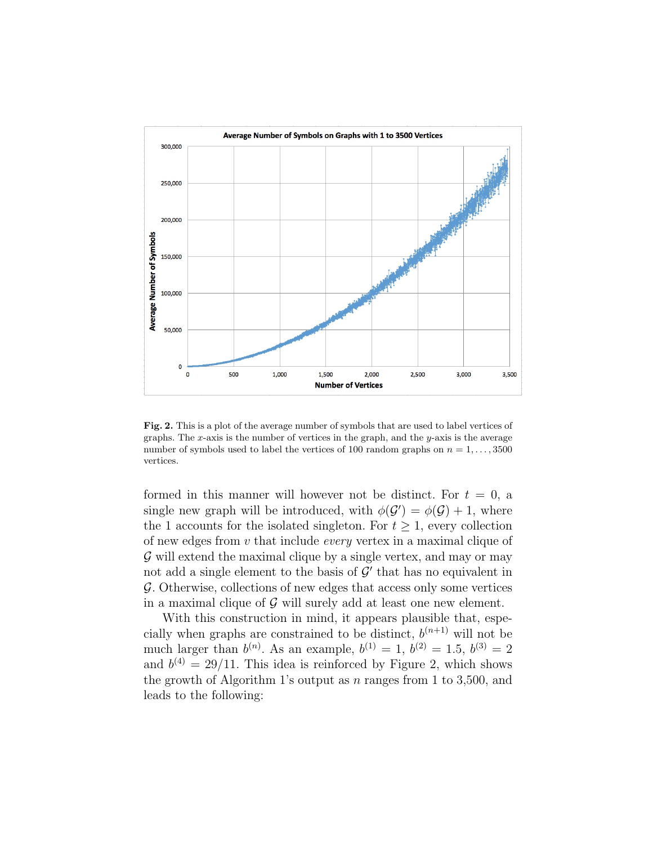

Fig. 2. This is a plot of the average number of symbols that are used to label vertices of graphs. The  $x$ -axis is the number of vertices in the graph, and the  $y$ -axis is the average number of symbols used to label the vertices of 100 random graphs on  $n = 1, \ldots, 3500$ vertices.

formed in this manner will however not be distinct. For  $t = 0$ , a single new graph will be introduced, with  $\phi(\mathcal{G}') = \phi(\mathcal{G}) + 1$ , where the 1 accounts for the isolated singleton. For  $t \geq 1$ , every collection of new edges from v that include every vertex in a maximal clique of  $\mathcal G$  will extend the maximal clique by a single vertex, and may or may not add a single element to the basis of  $\mathcal{G}'$  that has no equivalent in G. Otherwise, collections of new edges that access only some vertices in a maximal clique of  $\mathcal G$  will surely add at least one new element.

With this construction in mind, it appears plausible that, especially when graphs are constrained to be distinct,  $b^{(n+1)}$  will not be much larger than  $b^{(n)}$ . As an example,  $b^{(1)} = 1$ ,  $b^{(2)} = 1.5$ ,  $b^{(3)} = 2$ and  $b^{(4)} = 29/11$ . This idea is reinforced by Figure 2, which shows the growth of Algorithm 1's output as  $n$  ranges from 1 to 3,500, and leads to the following: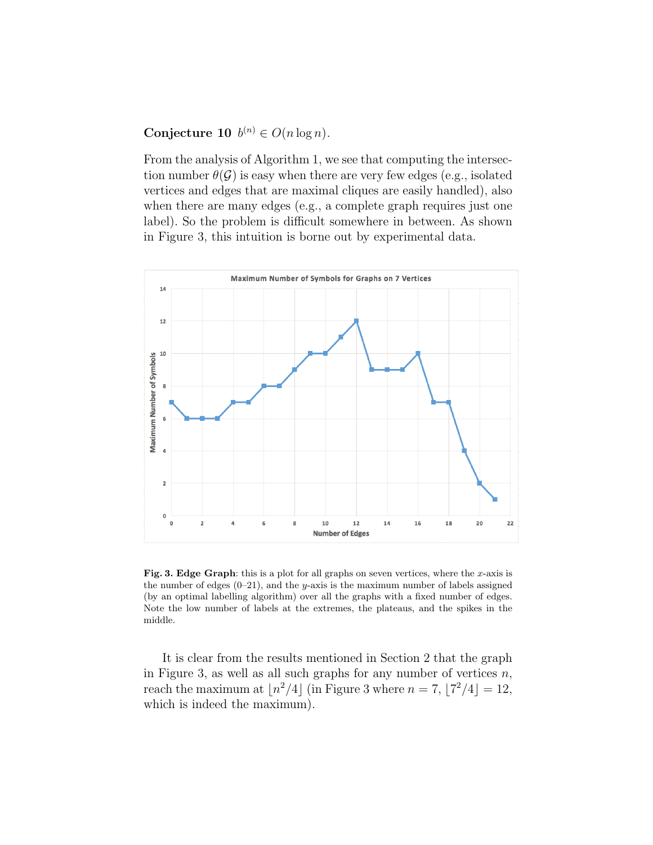#### Conjecture 10  $b^{(n)} \in O(n \log n)$ .

From the analysis of Algorithm 1, we see that computing the intersection number  $\theta(\mathcal{G})$  is easy when there are very few edges (e.g., isolated vertices and edges that are maximal cliques are easily handled), also when there are many edges (e.g., a complete graph requires just one label). So the problem is difficult somewhere in between. As shown in Figure 3, this intuition is borne out by experimental data.



Fig. 3. Edge Graph: this is a plot for all graphs on seven vertices, where the x-axis is the number of edges  $(0-21)$ , and the y-axis is the maximum number of labels assigned (by an optimal labelling algorithm) over all the graphs with a fixed number of edges. Note the low number of labels at the extremes, the plateaus, and the spikes in the middle.

It is clear from the results mentioned in Section 2 that the graph in Figure 3, as well as all such graphs for any number of vertices  $n$ , reach the maximum at  $\lfloor n^2/4 \rfloor$  (in Figure 3 where  $n = 7$ ,  $\lfloor 7^2/4 \rfloor = 12$ , which is indeed the maximum).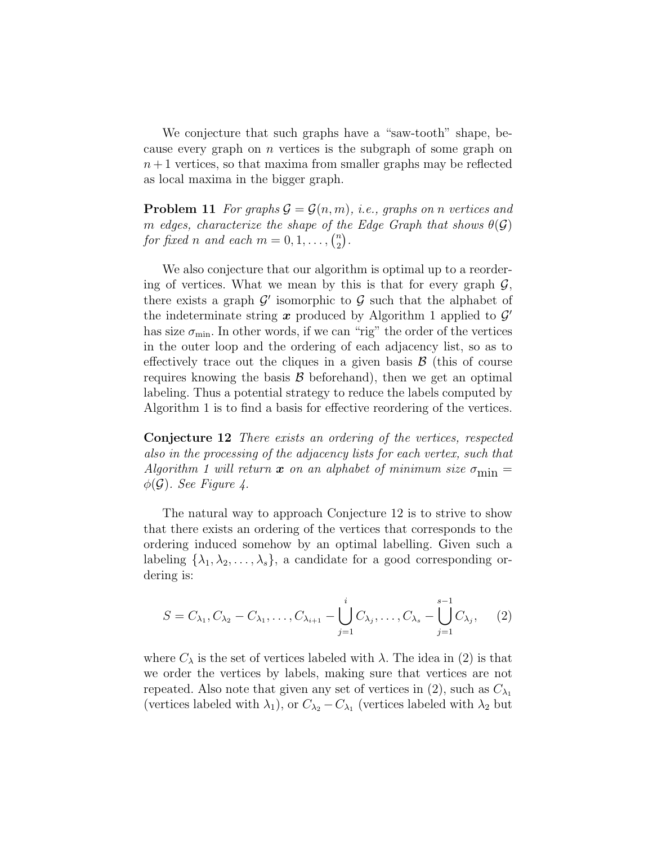We conjecture that such graphs have a "saw-tooth" shape, because every graph on n vertices is the subgraph of some graph on  $n+1$  vertices, so that maxima from smaller graphs may be reflected as local maxima in the bigger graph.

**Problem 11** For graphs  $\mathcal{G} = \mathcal{G}(n, m)$ , i.e., graphs on n vertices and m edges, characterize the shape of the Edge Graph that shows  $\theta(\mathcal{G})$ for fixed n and each  $m = 0, 1, \ldots, \binom{n}{2}$  $\binom{n}{2}$  .

We also conjecture that our algorithm is optimal up to a reordering of vertices. What we mean by this is that for every graph  $\mathcal{G}$ , there exists a graph  $\mathcal{G}'$  isomorphic to  $\mathcal G$  such that the alphabet of the indeterminate string  $x$  produced by Algorithm 1 applied to  $\mathcal{G}'$ has size  $\sigma_{\min}$ . In other words, if we can "rig" the order of the vertices in the outer loop and the ordering of each adjacency list, so as to effectively trace out the cliques in a given basis  $\mathcal{B}$  (this of course requires knowing the basis  $\beta$  beforehand), then we get an optimal labeling. Thus a potential strategy to reduce the labels computed by Algorithm 1 is to find a basis for effective reordering of the vertices.

Conjecture 12 There exists an ordering of the vertices, respected also in the processing of the adjacency lists for each vertex, such that Algorithm 1 will return x on an alphabet of minimum size  $\sigma_{\min} =$  $\phi(\mathcal{G})$ . See Figure 4.

The natural way to approach Conjecture 12 is to strive to show that there exists an ordering of the vertices that corresponds to the ordering induced somehow by an optimal labelling. Given such a labeling  $\{\lambda_1, \lambda_2, \ldots, \lambda_s\}$ , a candidate for a good corresponding ordering is:

$$
S = C_{\lambda_1}, C_{\lambda_2} - C_{\lambda_1}, \dots, C_{\lambda_{i+1}} - \bigcup_{j=1}^{i} C_{\lambda_j}, \dots, C_{\lambda_s} - \bigcup_{j=1}^{s-1} C_{\lambda_j}, \qquad (2)
$$

where  $C_{\lambda}$  is the set of vertices labeled with  $\lambda$ . The idea in (2) is that we order the vertices by labels, making sure that vertices are not repeated. Also note that given any set of vertices in (2), such as  $C_{\lambda_1}$ (vertices labeled with  $\lambda_1$ ), or  $C_{\lambda_2} - C_{\lambda_1}$  (vertices labeled with  $\lambda_2$  but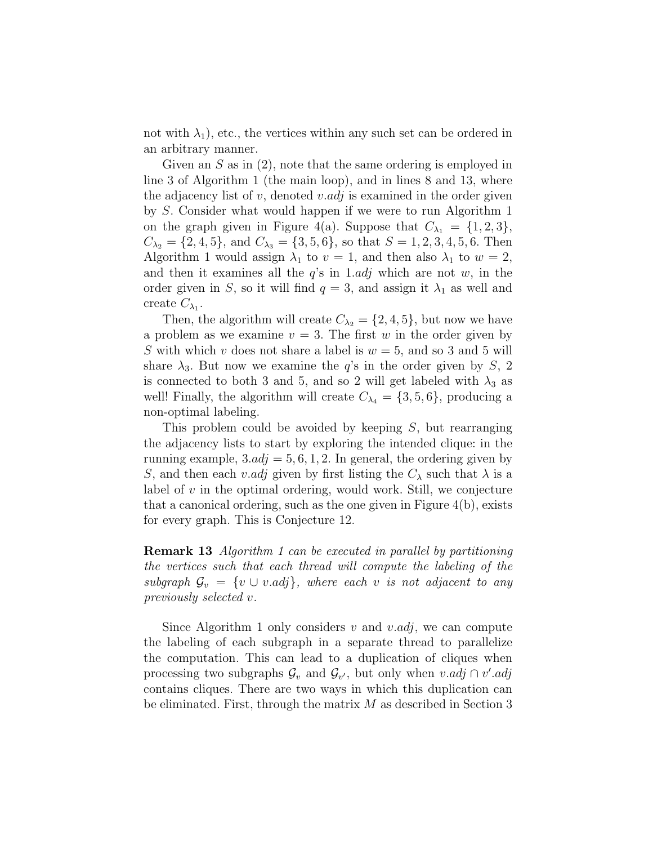not with  $\lambda_1$ , etc., the vertices within any such set can be ordered in an arbitrary manner.

Given an S as in (2), note that the same ordering is employed in line 3 of Algorithm 1 (the main loop), and in lines 8 and 13, where the adjacency list of v, denoted v.adj is examined in the order given by S. Consider what would happen if we were to run Algorithm 1 on the graph given in Figure 4(a). Suppose that  $C_{\lambda_1} = \{1, 2, 3\},\$  $C_{\lambda_2} = \{2, 4, 5\}$ , and  $C_{\lambda_3} = \{3, 5, 6\}$ , so that  $S = 1, 2, 3, 4, 5, 6$ . Then Algorithm 1 would assign  $\lambda_1$  to  $v = 1$ , and then also  $\lambda_1$  to  $w = 2$ , and then it examines all the  $q$ 's in 1.adj which are not  $w$ , in the order given in S, so it will find  $q = 3$ , and assign it  $\lambda_1$  as well and create  $C_{\lambda_1}$ .

Then, the algorithm will create  $C_{\lambda_2} = \{2, 4, 5\}$ , but now we have a problem as we examine  $v = 3$ . The first w in the order given by S with which v does not share a label is  $w = 5$ , and so 3 and 5 will share  $\lambda_3$ . But now we examine the q's in the order given by S, 2 is connected to both 3 and 5, and so 2 will get labeled with  $\lambda_3$  as well! Finally, the algorithm will create  $C_{\lambda_4} = \{3, 5, 6\}$ , producing a non-optimal labeling.

This problem could be avoided by keeping S, but rearranging the adjacency lists to start by exploring the intended clique: in the running example,  $3.adj = 5, 6, 1, 2$ . In general, the ordering given by S, and then each v.adj given by first listing the  $C_{\lambda}$  such that  $\lambda$  is a label of  $v$  in the optimal ordering, would work. Still, we conjecture that a canonical ordering, such as the one given in Figure 4(b), exists for every graph. This is Conjecture 12.

Remark 13 Algorithm 1 can be executed in parallel by partitioning the vertices such that each thread will compute the labeling of the subgraph  $\mathcal{G}_v = \{v \cup v \cdot adj\},\$  where each v is not adjacent to any previously selected v.

Since Algorithm 1 only considers v and v.adj, we can compute the labeling of each subgraph in a separate thread to parallelize the computation. This can lead to a duplication of cliques when processing two subgraphs  $\mathcal{G}_v$  and  $\mathcal{G}_{v'}$ , but only when  $v.add$   $\cap v'.adj$ contains cliques. There are two ways in which this duplication can be eliminated. First, through the matrix  $M$  as described in Section 3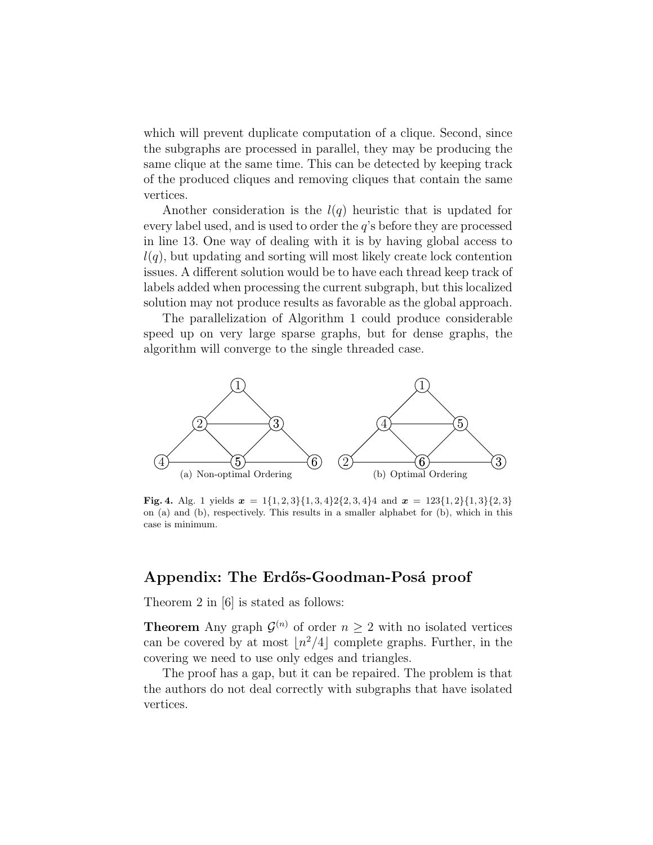which will prevent duplicate computation of a clique. Second, since the subgraphs are processed in parallel, they may be producing the same clique at the same time. This can be detected by keeping track of the produced cliques and removing cliques that contain the same vertices.

Another consideration is the  $l(q)$  heuristic that is updated for every label used, and is used to order the  $q$ 's before they are processed in line 13. One way of dealing with it is by having global access to  $l(q)$ , but updating and sorting will most likely create lock contention issues. A different solution would be to have each thread keep track of labels added when processing the current subgraph, but this localized solution may not produce results as favorable as the global approach.

The parallelization of Algorithm 1 could produce considerable speed up on very large sparse graphs, but for dense graphs, the algorithm will converge to the single threaded case.



**Fig. 4.** Alg. 1 yields  $x = 1\{1, 2, 3\}\{1, 3, 4\}2\{2, 3, 4\}4$  and  $x = 123\{1, 2\}\{1, 3\}\{2, 3\}$ on (a) and (b), respectively. This results in a smaller alphabet for (b), which in this case is minimum.

#### Appendix: The Erdős-Goodman-Posá proof

Theorem 2 in [6] is stated as follows:

**Theorem** Any graph  $\mathcal{G}^{(n)}$  of order  $n \geq 2$  with no isolated vertices can be covered by at most  $\lfloor n^2/4 \rfloor$  complete graphs. Further, in the covering we need to use only edges and triangles.

The proof has a gap, but it can be repaired. The problem is that the authors do not deal correctly with subgraphs that have isolated vertices.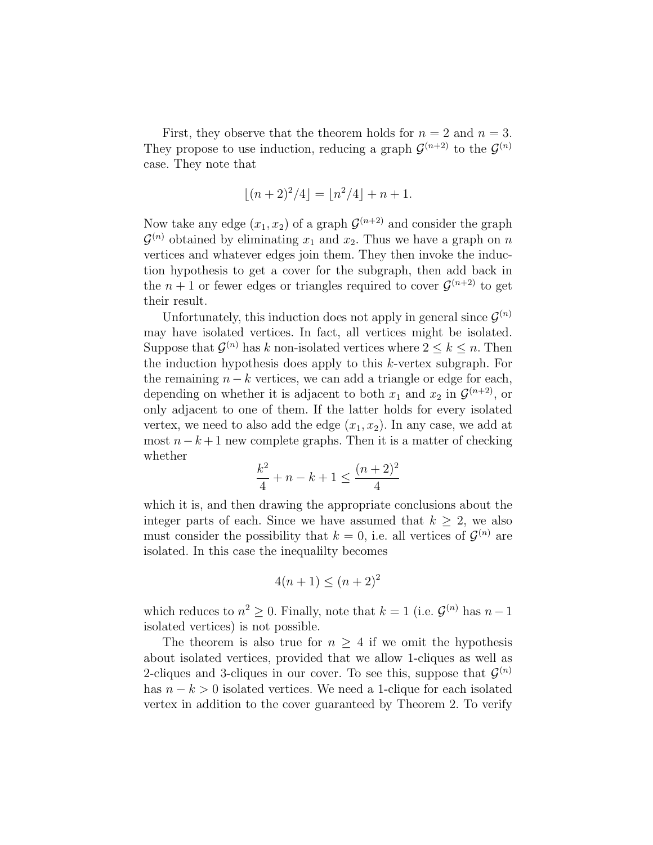First, they observe that the theorem holds for  $n = 2$  and  $n = 3$ . They propose to use induction, reducing a graph  $\mathcal{G}^{(n+2)}$  to the  $\mathcal{G}^{(n)}$ case. They note that

$$
\lfloor (n+2)^2/4 \rfloor = \lfloor n^2/4 \rfloor + n + 1.
$$

Now take any edge  $(x_1, x_2)$  of a graph  $\mathcal{G}^{(n+2)}$  and consider the graph  $\mathcal{G}^{(n)}$  obtained by eliminating  $x_1$  and  $x_2$ . Thus we have a graph on n vertices and whatever edges join them. They then invoke the induction hypothesis to get a cover for the subgraph, then add back in the  $n+1$  or fewer edges or triangles required to cover  $\mathcal{G}^{(n+2)}$  to get their result.

Unfortunately, this induction does not apply in general since  $\mathcal{G}^{(n)}$ may have isolated vertices. In fact, all vertices might be isolated. Suppose that  $\mathcal{G}^{(n)}$  has k non-isolated vertices where  $2 \leq k \leq n$ . Then the induction hypothesis does apply to this k-vertex subgraph. For the remaining  $n - k$  vertices, we can add a triangle or edge for each, depending on whether it is adjacent to both  $x_1$  and  $x_2$  in  $\mathcal{G}^{(n+2)}$ , or only adjacent to one of them. If the latter holds for every isolated vertex, we need to also add the edge  $(x_1, x_2)$ . In any case, we add at most  $n-k+1$  new complete graphs. Then it is a matter of checking whether

$$
\frac{k^2}{4} + n - k + 1 \le \frac{(n+2)^2}{4}
$$

which it is, and then drawing the appropriate conclusions about the integer parts of each. Since we have assumed that  $k \geq 2$ , we also must consider the possibility that  $k = 0$ , i.e. all vertices of  $\mathcal{G}^{(n)}$  are isolated. In this case the inequalilty becomes

$$
4(n+1) \le (n+2)^2
$$

which reduces to  $n^2 \geq 0$ . Finally, note that  $k = 1$  (i.e.  $\mathcal{G}^{(n)}$  has  $n-1$ isolated vertices) is not possible.

The theorem is also true for  $n \geq 4$  if we omit the hypothesis about isolated vertices, provided that we allow 1-cliques as well as 2-cliques and 3-cliques in our cover. To see this, suppose that  $\mathcal{G}^{(n)}$ has  $n - k > 0$  isolated vertices. We need a 1-clique for each isolated vertex in addition to the cover guaranteed by Theorem 2. To verify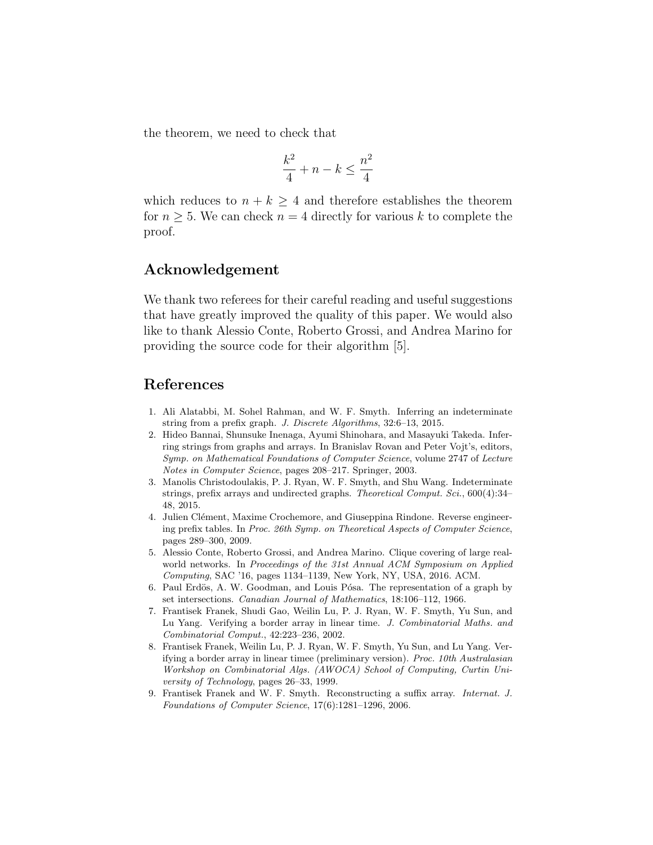the theorem, we need to check that

$$
\frac{k^2}{4} + n - k \le \frac{n^2}{4}
$$

which reduces to  $n + k \geq 4$  and therefore establishes the theorem for  $n \geq 5$ . We can check  $n = 4$  directly for various k to complete the proof.

#### Acknowledgement

We thank two referees for their careful reading and useful suggestions that have greatly improved the quality of this paper. We would also like to thank Alessio Conte, Roberto Grossi, and Andrea Marino for providing the source code for their algorithm [5].

#### References

- 1. Ali Alatabbi, M. Sohel Rahman, and W. F. Smyth. Inferring an indeterminate string from a prefix graph. J. Discrete Algorithms, 32:6–13, 2015.
- 2. Hideo Bannai, Shunsuke Inenaga, Ayumi Shinohara, and Masayuki Takeda. Inferring strings from graphs and arrays. In Branislav Rovan and Peter Vojt's, editors, Symp. on Mathematical Foundations of Computer Science, volume 2747 of Lecture Notes in Computer Science, pages 208–217. Springer, 2003.
- 3. Manolis Christodoulakis, P. J. Ryan, W. F. Smyth, and Shu Wang. Indeterminate strings, prefix arrays and undirected graphs. Theoretical Comput. Sci., 600(4):34-48, 2015.
- 4. Julien Clément, Maxime Crochemore, and Giuseppina Rindone. Reverse engineering prefix tables. In Proc. 26th Symp. on Theoretical Aspects of Computer Science, pages 289–300, 2009.
- 5. Alessio Conte, Roberto Grossi, and Andrea Marino. Clique covering of large realworld networks. In Proceedings of the 31st Annual ACM Symposium on Applied Computing, SAC '16, pages 1134–1139, New York, NY, USA, 2016. ACM.
- 6. Paul Erdös, A. W. Goodman, and Louis Pósa. The representation of a graph by set intersections. Canadian Journal of Mathematics, 18:106–112, 1966.
- 7. Frantisek Franek, Shudi Gao, Weilin Lu, P. J. Ryan, W. F. Smyth, Yu Sun, and Lu Yang. Verifying a border array in linear time. J. Combinatorial Maths. and Combinatorial Comput., 42:223–236, 2002.
- 8. Frantisek Franek, Weilin Lu, P. J. Ryan, W. F. Smyth, Yu Sun, and Lu Yang. Verifying a border array in linear timee (preliminary version). Proc. 10th Australasian Workshop on Combinatorial Algs. (AWOCA) School of Computing, Curtin University of Technology, pages 26–33, 1999.
- 9. Frantisek Franek and W. F. Smyth. Reconstructing a suffix array. Internat. J. Foundations of Computer Science, 17(6):1281–1296, 2006.